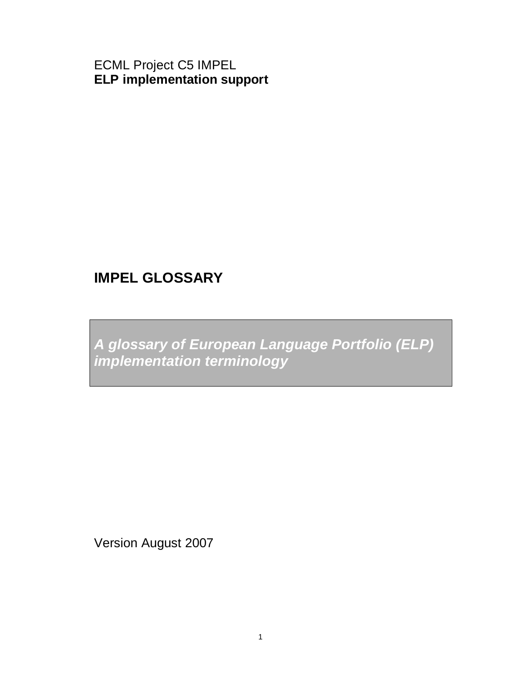ECML Project C5 IMPEL **ELP implementation support** 

# **IMPEL GLOSSARY**

**A glossary of European Language Portfolio (ELP) implementation terminology** 

Version August 2007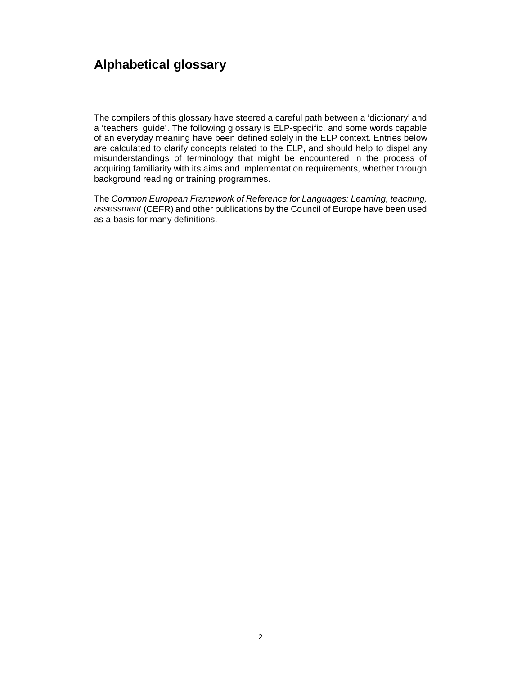## **Alphabetical glossary**

The compilers of this glossary have steered a careful path between a 'dictionary' and a 'teachers' guide'. The following glossary is ELP-specific, and some words capable of an everyday meaning have been defined solely in the ELP context. Entries below are calculated to clarify concepts related to the ELP, and should help to dispel any misunderstandings of terminology that might be encountered in the process of acquiring familiarity with its aims and implementation requirements, whether through background reading or training programmes.

The Common European Framework of Reference for Languages: Learning, teaching, assessment (CEFR) and other publications by the Council of Europe have been used as a basis for many definitions.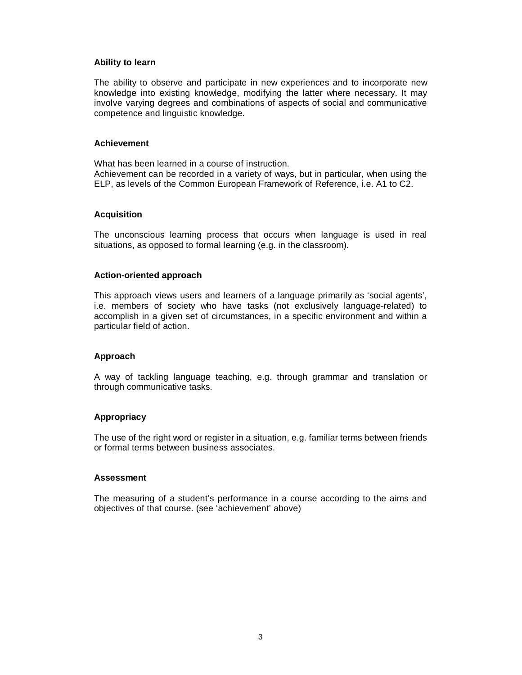#### **Ability to learn**

The ability to observe and participate in new experiences and to incorporate new knowledge into existing knowledge, modifying the latter where necessary. It may involve varying degrees and combinations of aspects of social and communicative competence and linguistic knowledge.

#### **Achievement**

What has been learned in a course of instruction. Achievement can be recorded in a variety of ways, but in particular, when using the ELP, as levels of the Common European Framework of Reference, i.e. A1 to C2.

#### **Acquisition**

The unconscious learning process that occurs when language is used in real situations, as opposed to formal learning (e.g. in the classroom).

#### **Action-oriented approach**

This approach views users and learners of a language primarily as 'social agents', i.e. members of society who have tasks (not exclusively language-related) to accomplish in a given set of circumstances, in a specific environment and within a particular field of action.

## **Approach**

A way of tackling language teaching, e.g. through grammar and translation or through communicative tasks.

## **Appropriacy**

The use of the right word or register in a situation, e.g. familiar terms between friends or formal terms between business associates.

## **Assessment**

The measuring of a student's performance in a course according to the aims and objectives of that course. (see 'achievement' above)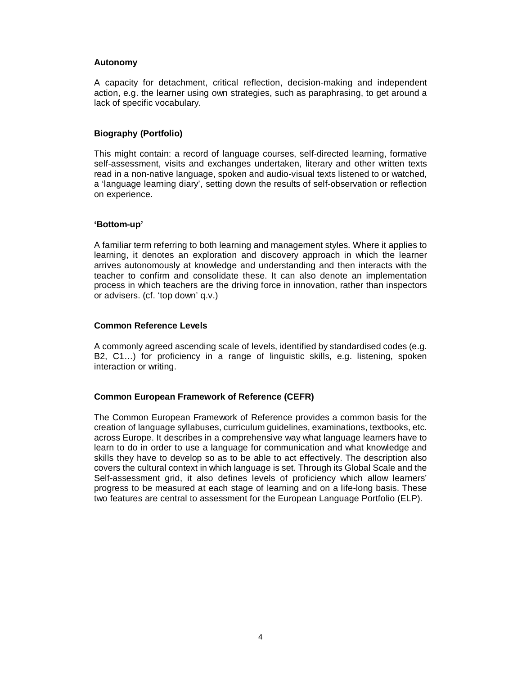## **Autonomy**

A capacity for detachment, critical reflection, decision-making and independent action, e.g. the learner using own strategies, such as paraphrasing, to get around a lack of specific vocabulary.

#### **Biography (Portfolio)**

This might contain: a record of language courses, self-directed learning, formative self-assessment, visits and exchanges undertaken, literary and other written texts read in a non-native language, spoken and audio-visual texts listened to or watched, a 'language learning diary', setting down the results of self-observation or reflection on experience.

#### **'Bottom-up'**

A familiar term referring to both learning and management styles. Where it applies to learning, it denotes an exploration and discovery approach in which the learner arrives autonomously at knowledge and understanding and then interacts with the teacher to confirm and consolidate these. It can also denote an implementation process in which teachers are the driving force in innovation, rather than inspectors or advisers. (cf. 'top down' q.v.)

## **Common Reference Levels**

A commonly agreed ascending scale of levels, identified by standardised codes (e.g. B2, C1…) for proficiency in a range of linguistic skills, e.g. listening, spoken interaction or writing.

## **Common European Framework of Reference (CEFR)**

The Common European Framework of Reference provides a common basis for the creation of language syllabuses, curriculum guidelines, examinations, textbooks, etc. across Europe. It describes in a comprehensive way what language learners have to learn to do in order to use a language for communication and what knowledge and skills they have to develop so as to be able to act effectively. The description also covers the cultural context in which language is set. Through its Global Scale and the Self-assessment grid, it also defines levels of proficiency which allow learners' progress to be measured at each stage of learning and on a life-long basis. These two features are central to assessment for the European Language Portfolio (ELP).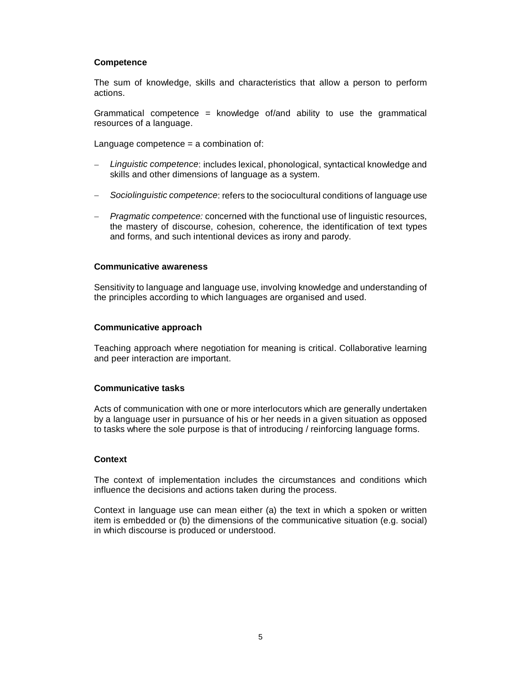## **Competence**

The sum of knowledge, skills and characteristics that allow a person to perform actions.

Grammatical competence = knowledge of/and ability to use the grammatical resources of a language.

Language competence = a combination of:

- − Linguistic competence: includes lexical, phonological, syntactical knowledge and skills and other dimensions of language as a system.
- − Sociolinguistic competence: refers to the sociocultural conditions of language use
- Pragmatic competence: concerned with the functional use of linguistic resources, the mastery of discourse, cohesion, coherence, the identification of text types and forms, and such intentional devices as irony and parody.

## **Communicative awareness**

Sensitivity to language and language use, involving knowledge and understanding of the principles according to which languages are organised and used.

## **Communicative approach**

Teaching approach where negotiation for meaning is critical. Collaborative learning and peer interaction are important.

## **Communicative tasks**

Acts of communication with one or more interlocutors which are generally undertaken by a language user in pursuance of his or her needs in a given situation as opposed to tasks where the sole purpose is that of introducing / reinforcing language forms.

## **Context**

The context of implementation includes the circumstances and conditions which influence the decisions and actions taken during the process.

Context in language use can mean either (a) the text in which a spoken or written item is embedded or (b) the dimensions of the communicative situation (e.g. social) in which discourse is produced or understood.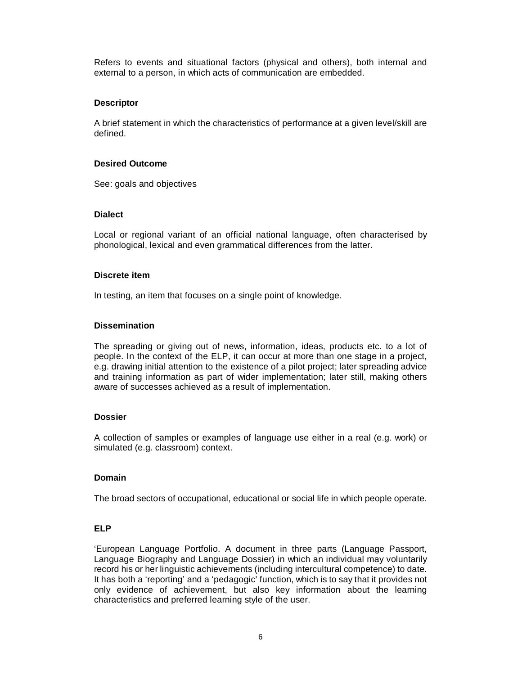Refers to events and situational factors (physical and others), both internal and external to a person, in which acts of communication are embedded.

## **Descriptor**

A brief statement in which the characteristics of performance at a given level/skill are defined.

## **Desired Outcome**

See: goals and objectives

## **Dialect**

Local or regional variant of an official national language, often characterised by phonological, lexical and even grammatical differences from the latter.

#### **Discrete item**

In testing, an item that focuses on a single point of knowledge.

## **Dissemination**

The spreading or giving out of news, information, ideas, products etc. to a lot of people. In the context of the ELP, it can occur at more than one stage in a project, e.g. drawing initial attention to the existence of a pilot project; later spreading advice and training information as part of wider implementation; later still, making others aware of successes achieved as a result of implementation.

## **Dossier**

A collection of samples or examples of language use either in a real (e.g. work) or simulated (e.g. classroom) context.

## **Domain**

The broad sectors of occupational, educational or social life in which people operate.

## **ELP**

'European Language Portfolio. A document in three parts (Language Passport, Language Biography and Language Dossier) in which an individual may voluntarily record his or her linguistic achievements (including intercultural competence) to date. It has both a 'reporting' and a 'pedagogic' function, which is to say that it provides not only evidence of achievement, but also key information about the learning characteristics and preferred learning style of the user.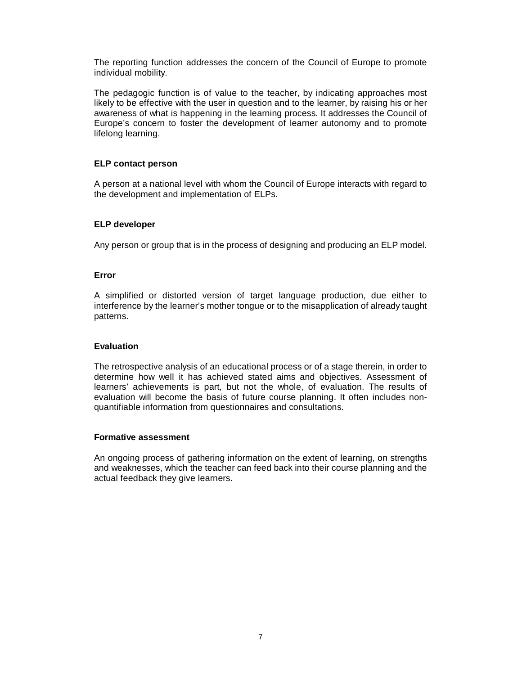The reporting function addresses the concern of the Council of Europe to promote individual mobility.

The pedagogic function is of value to the teacher, by indicating approaches most likely to be effective with the user in question and to the learner, by raising his or her awareness of what is happening in the learning process. It addresses the Council of Europe's concern to foster the development of learner autonomy and to promote lifelong learning.

## **ELP contact person**

A person at a national level with whom the Council of Europe interacts with regard to the development and implementation of ELPs.

## **ELP developer**

Any person or group that is in the process of designing and producing an ELP model.

#### **Error**

A simplified or distorted version of target language production, due either to interference by the learner's mother tongue or to the misapplication of already taught patterns.

## **Evaluation**

The retrospective analysis of an educational process or of a stage therein, in order to determine how well it has achieved stated aims and objectives. Assessment of learners' achievements is part, but not the whole, of evaluation. The results of evaluation will become the basis of future course planning. It often includes nonquantifiable information from questionnaires and consultations.

## **Formative assessment**

An ongoing process of gathering information on the extent of learning, on strengths and weaknesses, which the teacher can feed back into their course planning and the actual feedback they give learners.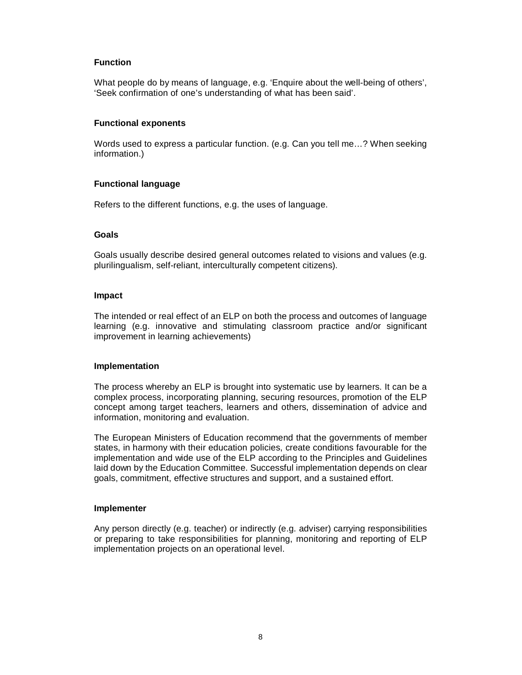## **Function**

What people do by means of language, e.g. 'Enquire about the well-being of others', 'Seek confirmation of one's understanding of what has been said'.

## **Functional exponents**

Words used to express a particular function. (e.g. Can you tell me…? When seeking information.)

## **Functional language**

Refers to the different functions, e.g. the uses of language.

## **Goals**

Goals usually describe desired general outcomes related to visions and values (e.g. plurilingualism, self-reliant, interculturally competent citizens).

#### **Impact**

The intended or real effect of an ELP on both the process and outcomes of language learning (e.g. innovative and stimulating classroom practice and/or significant improvement in learning achievements)

## **Implementation**

The process whereby an ELP is brought into systematic use by learners. It can be a complex process, incorporating planning, securing resources, promotion of the ELP concept among target teachers, learners and others, dissemination of advice and information, monitoring and evaluation.

The European Ministers of Education recommend that the governments of member states, in harmony with their education policies, create conditions favourable for the implementation and wide use of the ELP according to the Principles and Guidelines laid down by the Education Committee. Successful implementation depends on clear goals, commitment, effective structures and support, and a sustained effort.

## **Implementer**

Any person directly (e.g. teacher) or indirectly (e.g. adviser) carrying responsibilities or preparing to take responsibilities for planning, monitoring and reporting of ELP implementation projects on an operational level.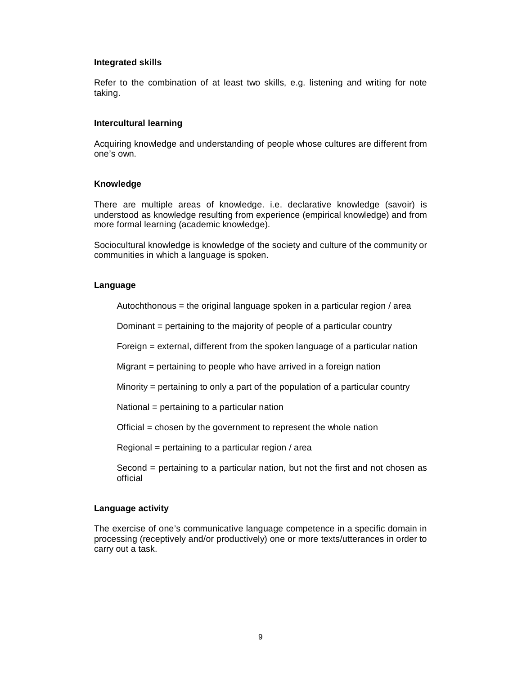#### **Integrated skills**

Refer to the combination of at least two skills, e.g. listening and writing for note taking.

#### **Intercultural learning**

Acquiring knowledge and understanding of people whose cultures are different from one's own.

#### **Knowledge**

There are multiple areas of knowledge. i.e. declarative knowledge (savoir) is understood as knowledge resulting from experience (empirical knowledge) and from more formal learning (academic knowledge).

Sociocultural knowledge is knowledge of the society and culture of the community or communities in which a language is spoken.

#### **Language**

Autochthonous = the original language spoken in a particular region / area

Dominant = pertaining to the majority of people of a particular country

Foreign = external, different from the spoken language of a particular nation

Migrant = pertaining to people who have arrived in a foreign nation

Minority = pertaining to only a part of the population of a particular country

National = pertaining to a particular nation

Official = chosen by the government to represent the whole nation

Regional = pertaining to a particular region / area

Second = pertaining to a particular nation, but not the first and not chosen as official

#### **Language activity**

The exercise of one's communicative language competence in a specific domain in processing (receptively and/or productively) one or more texts/utterances in order to carry out a task.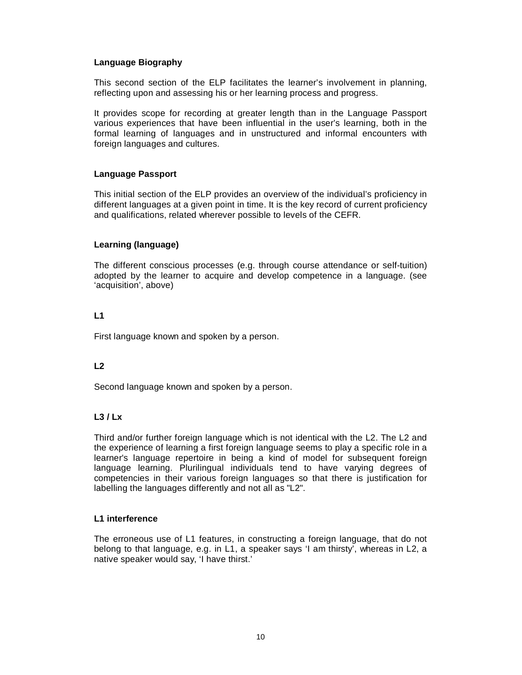## **Language Biography**

This second section of the ELP facilitates the learner's involvement in planning, reflecting upon and assessing his or her learning process and progress.

It provides scope for recording at greater length than in the Language Passport various experiences that have been influential in the user's learning, both in the formal learning of languages and in unstructured and informal encounters with foreign languages and cultures.

## **Language Passport**

This initial section of the ELP provides an overview of the individual's proficiency in different languages at a given point in time. It is the key record of current proficiency and qualifications, related wherever possible to levels of the CEFR.

## **Learning (language)**

The different conscious processes (e.g. through course attendance or self-tuition) adopted by the learner to acquire and develop competence in a language. (see 'acquisition', above)

## **L1**

First language known and spoken by a person.

## **L2**

Second language known and spoken by a person.

## **L3 / Lx**

Third and/or further foreign language which is not identical with the L2. The L2 and the experience of learning a first foreign language seems to play a specific role in a learner's language repertoire in being a kind of model for subsequent foreign language learning. Plurilingual individuals tend to have varying degrees of competencies in their various foreign languages so that there is justification for labelling the languages differently and not all as "L2".

## **L1 interference**

The erroneous use of L1 features, in constructing a foreign language, that do not belong to that language, e.g. in L1, a speaker says 'I am thirsty', whereas in L2, a native speaker would say, 'I have thirst.'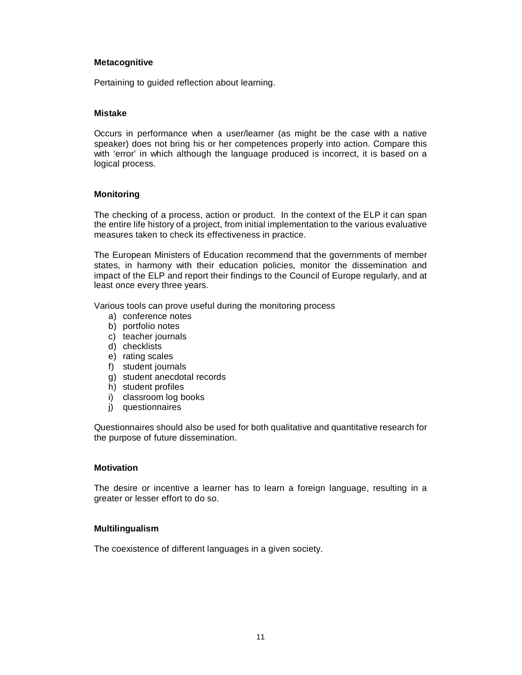## **Metacognitive**

Pertaining to guided reflection about learning.

## **Mistake**

Occurs in performance when a user/learner (as might be the case with a native speaker) does not bring his or her competences properly into action. Compare this with 'error' in which although the language produced is incorrect, it is based on a logical process.

## **Monitoring**

The checking of a process, action or product. In the context of the ELP it can span the entire life history of a project, from initial implementation to the various evaluative measures taken to check its effectiveness in practice.

The European Ministers of Education recommend that the governments of member states, in harmony with their education policies, monitor the dissemination and impact of the ELP and report their findings to the Council of Europe regularly, and at least once every three years.

Various tools can prove useful during the monitoring process

- a) conference notes
- b) portfolio notes
- c) teacher journals
- d) checklists
- e) rating scales
- f) student journals
- g) student anecdotal records
- h) student profiles
- i) classroom log books
- j) questionnaires

Questionnaires should also be used for both qualitative and quantitative research for the purpose of future dissemination.

## **Motivation**

The desire or incentive a learner has to learn a foreign language, resulting in a greater or lesser effort to do so.

## **Multilingualism**

The coexistence of different languages in a given society.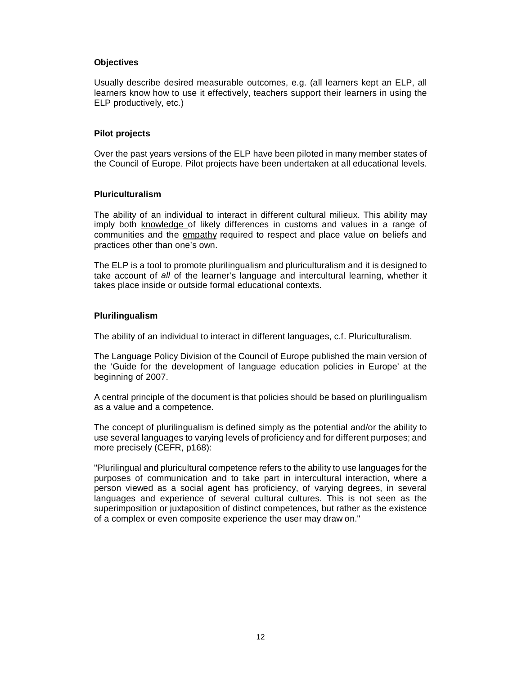## **Objectives**

Usually describe desired measurable outcomes, e.g. (all learners kept an ELP, all learners know how to use it effectively, teachers support their learners in using the ELP productively, etc.)

## **Pilot projects**

Over the past years versions of the ELP have been piloted in many member states of the Council of Europe. Pilot projects have been undertaken at all educational levels.

## **Pluriculturalism**

The ability of an individual to interact in different cultural milieux. This ability may imply both knowledge of likely differences in customs and values in a range of communities and the empathy required to respect and place value on beliefs and practices other than one's own.

The ELP is a tool to promote plurilingualism and pluriculturalism and it is designed to take account of all of the learner's language and intercultural learning, whether it takes place inside or outside formal educational contexts.

## **Plurilingualism**

The ability of an individual to interact in different languages, c.f. Pluriculturalism.

The Language Policy Division of the Council of Europe published the main version of the 'Guide for the development of language education policies in Europe' at the beginning of 2007.

A central principle of the document is that policies should be based on plurilingualism as a value and a competence.

The concept of plurilingualism is defined simply as the potential and/or the ability to use several languages to varying levels of proficiency and for different purposes; and more precisely (CEFR, p168):

"Plurilingual and pluricultural competence refers to the ability to use languages for the purposes of communication and to take part in intercultural interaction, where a person viewed as a social agent has proficiency, of varying degrees, in several languages and experience of several cultural cultures. This is not seen as the superimposition or juxtaposition of distinct competences, but rather as the existence of a complex or even composite experience the user may draw on."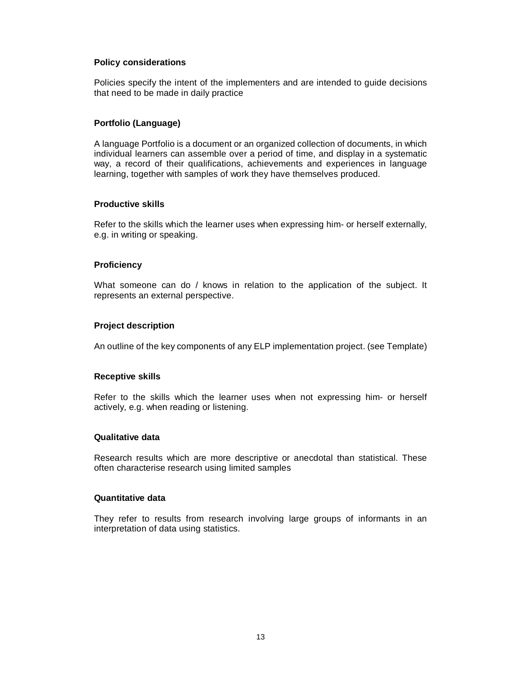## **Policy considerations**

Policies specify the intent of the implementers and are intended to guide decisions that need to be made in daily practice

## **Portfolio (Language)**

A language Portfolio is a document or an organized collection of documents, in which individual learners can assemble over a period of time, and display in a systematic way, a record of their qualifications, achievements and experiences in language learning, together with samples of work they have themselves produced.

## **Productive skills**

Refer to the skills which the learner uses when expressing him- or herself externally, e.g. in writing or speaking.

## **Proficiency**

What someone can do / knows in relation to the application of the subject. It represents an external perspective.

## **Project description**

An outline of the key components of any ELP implementation project. (see Template)

#### **Receptive skills**

Refer to the skills which the learner uses when not expressing him- or herself actively, e.g. when reading or listening.

## **Qualitative data**

Research results which are more descriptive or anecdotal than statistical. These often characterise research using limited samples

## **Quantitative data**

They refer to results from research involving large groups of informants in an interpretation of data using statistics.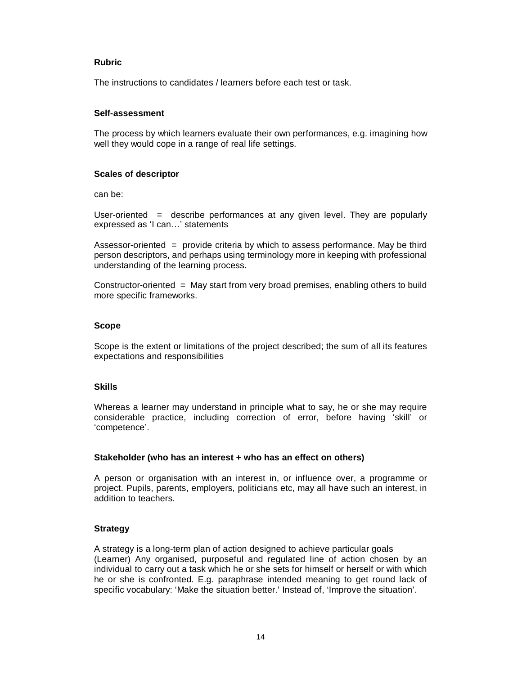## **Rubric**

The instructions to candidates / learners before each test or task.

## **Self-assessment**

The process by which learners evaluate their own performances, e.g. imagining how well they would cope in a range of real life settings.

## **Scales of descriptor**

can be:

User-oriented = describe performances at any given level. They are popularly expressed as 'I can…' statements

Assessor-oriented = provide criteria by which to assess performance. May be third person descriptors, and perhaps using terminology more in keeping with professional understanding of the learning process.

Constructor-oriented = May start from very broad premises, enabling others to build more specific frameworks.

## **Scope**

Scope is the extent or limitations of the project described; the sum of all its features expectations and responsibilities

## **Skills**

Whereas a learner may understand in principle what to say, he or she may require considerable practice, including correction of error, before having 'skill' or 'competence'.

## **Stakeholder (who has an interest + who has an effect on others)**

A person or organisation with an interest in, or influence over, a programme or project. Pupils, parents, employers, politicians etc, may all have such an interest, in addition to teachers.

## **Strategy**

A strategy is a long-term plan of action designed to achieve particular goals (Learner) Any organised, purposeful and regulated line of action chosen by an individual to carry out a task which he or she sets for himself or herself or with which he or she is confronted. E.g. paraphrase intended meaning to get round lack of specific vocabulary: 'Make the situation better.' Instead of, 'Improve the situation'.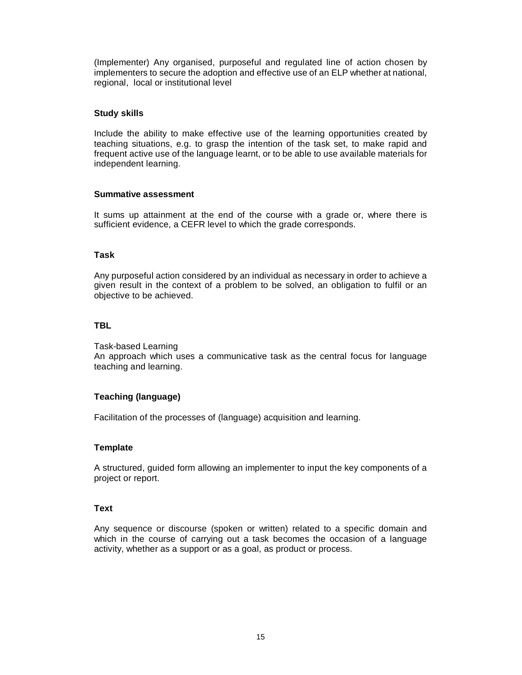(Implementer) Any organised, purposeful and regulated line of action chosen by implementers to secure the adoption and effective use of an ELP whether at national, regional, local or institutional level

## **Study skills**

Include the ability to make effective use of the learning opportunities created by teaching situations, e.g. to grasp the intention of the task set, to make rapid and frequent active use of the language learnt, or to be able to use available materials for independent learning.

## **Summative assessment**

It sums up attainment at the end of the course with a grade or, where there is sufficient evidence, a CEFR level to which the grade corresponds.

## **Task**

Any purposeful action considered by an individual as necessary in order to achieve a given result in the context of a problem to be solved, an obligation to fulfil or an objective to be achieved.

## **TBL**

Task-based Learning An approach which uses a communicative task as the central focus for language teaching and learning.

## **Teaching (language)**

Facilitation of the processes of (language) acquisition and learning.

## **Template**

A structured, guided form allowing an implementer to input the key components of a project or report.

## **Text**

Any sequence or discourse (spoken or written) related to a specific domain and which in the course of carrying out a task becomes the occasion of a language activity, whether as a support or as a goal, as product or process.